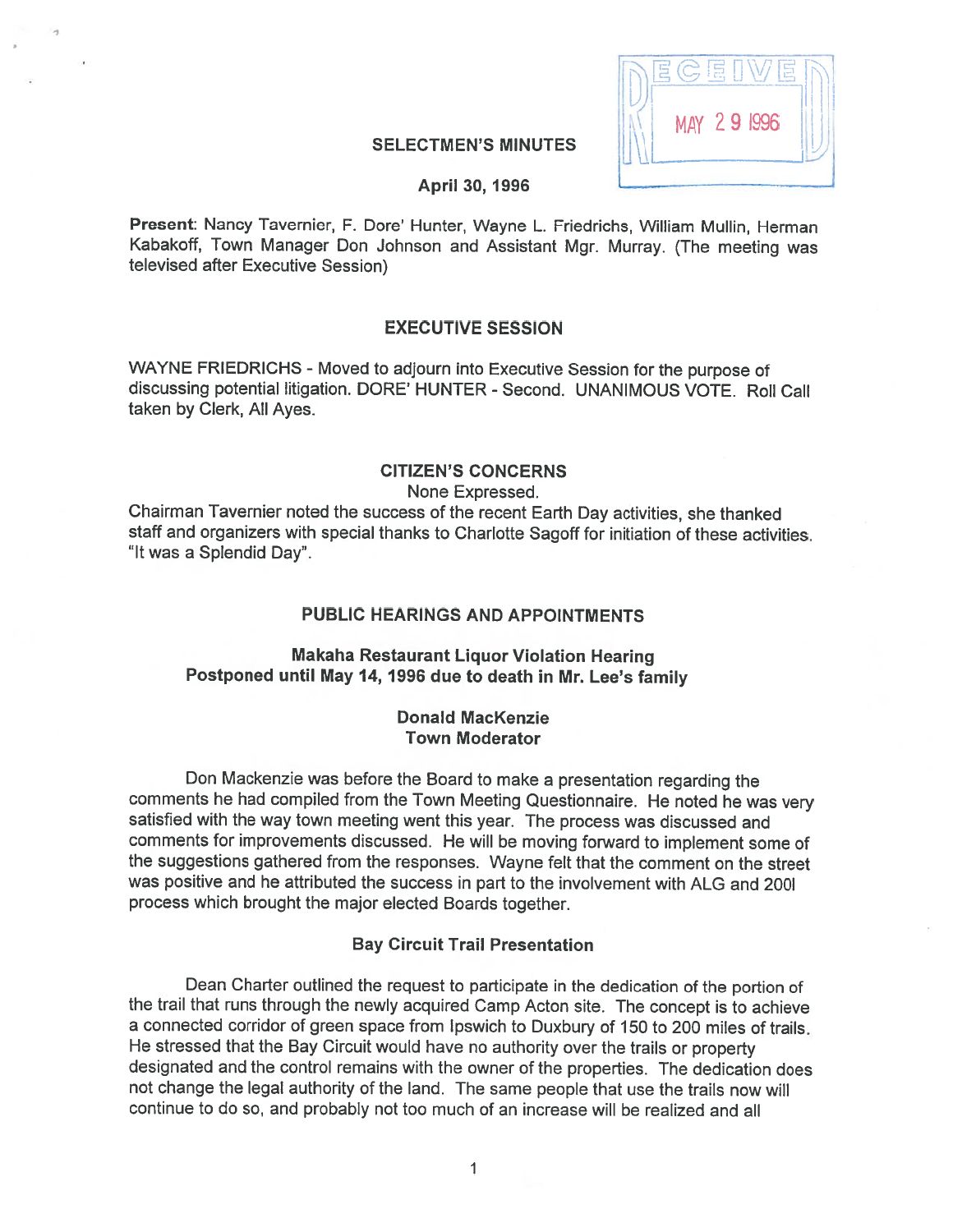

## SELECTMEN'S MINUTES

#### April 30, 1996

Present: Nancy Tavernier, F. Dore' Hunter, Wayne L. Friedrichs, William Mullin, Herman Kabakoff, Town Manager Don Johnson and Assistant Mgr. Murray. (The meeting was televised after Executive Session)

## EXECUTIVE SESSION

WAYNE FRIEDRICHS - Moved to adjourn into Executive Session for the purpose of discussing potential litigation. DORE' HUNTER - Second. UNANIMOUS VOTE. Roll Call taken by Clerk, All Ayes.

# CITIZEN'S CONCERNS

None Expressed.

Chairman Tavernier noted the success of the recent Earth Day activities, she thanked staff and organizers with special thanks to Charlotte Sagoff for initiation of these activities. "It was <sup>a</sup> Splendid Day".

#### PUBLIC HEARINGS AND APPOINTMENTS

## Makaha Restaurant Liquor Violation Hearing Postponed until May 14, <sup>1996</sup> due to death in Mr. Lee's family

#### Donald Mackenzie Town Moderator

Don Mackenzie was before the Board to make <sup>a</sup> presentation regarding the comments he had compiled from the Town Meeting Questionnaire. He noted he was very satisfied with the way town meeting went this year. The process was discussed and comments for improvements discussed. He will be moving forward to implement some of the suggestions gathered from the responses. Wayne felt that the comment on the street was positive and he attributed the success in part to the involvement with ALG and 200l process which brought the major elected Boards together.

#### Bay Circuit Trail Presentation

Dean Charter outlined the request to participate in the dedication of the portion of the trail that runs through the newly acquired Camp Acton site. The concept is to achieve <sup>a</sup> connected corridor of green space from lpswich to Duxbury of 150 to 200 miles of trails. He stressed that the Bay Circuit would have no authority over the trails or property designated and the control remains with the owner of the properties. The dedication does not change the legal authority of the land. The same people that use the trails now will continue to do so, and probably not too much of an increase will be realized and all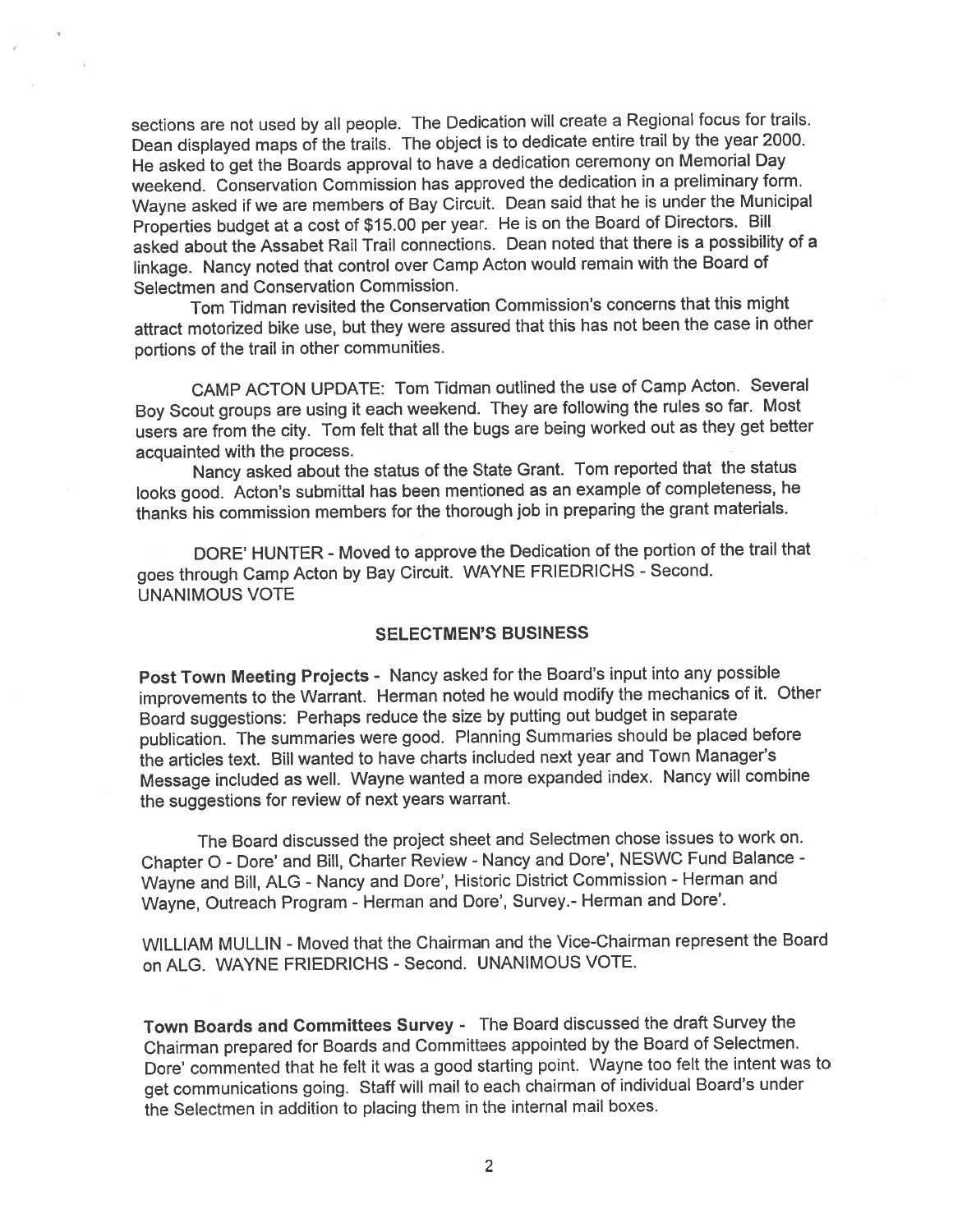sections are not used by all people. The Dedication will create a Regional focus for trails. Dean displayed maps of the trails. The object is to dedicate entire trail by the year 2000. He asked to ge<sup>t</sup> the Boards approva<sup>l</sup> to have <sup>a</sup> dedication ceremony on Memorial Day weekend. Conservation Commission has approve<sup>d</sup> the dedication in <sup>a</sup> preliminary form. Wayne asked if we are members of Bay Circuit. Dean said that he is under the Municipal Properties budget at <sup>a</sup> cost of \$15.00 per year. He is on the Board of Directors. Bill asked about the Assabet Rail Trail connections. Dean noted that there is <sup>a</sup> possibility of <sup>a</sup> linkage. Nancy noted that control over Camp Acton would remain with the Board of Selectmen and Conservation Commission.

Tom Tidman revisited the Conservation Commission's concerns that this might attract motorized bike use, but they were assured that this has not been the case in other portions of the trail in other communities.

CAMP ACTON UPDATE: Tom Tidman outlined the use of Camp Acton. Several Boy Scout groups are using it each weekend. They are following the rules so far. Most users are from the city. Tom felt that all the bugs are being worked out as they ge<sup>t</sup> better acquainted with the process.

Nancy asked about the status of the State Grant. Tom reported that the status looks good. Acton's submittal has been mentioned as an example of completeness, he thanks his commission members for the thorough job in preparing the gran<sup>t</sup> materials.

DORE' HUNTER - Moved to approve the Dedication of the portion of the trail that goes through Camp Acton by Bay Circuit. WAYNE FRIEDRICHS - Second. UNANIMOUS VOTE

#### SELECTMEN'S BUSINESS

Post Town Meeting Projects - Nancy asked for the Board's input into any possible improvements to the Warrant. Herman noted he would modify the mechanics of it. Other Board suggestions: Perhaps reduce the size by putting out budget in separate publication. The summaries were good. Planning Summaries should be <sup>p</sup>laced before the articles text. Bill wanted to have charts included next year and Town Manager's Message included as well. Wayne wanted <sup>a</sup> more expanded index. Nancy will combine the suggestions for review of next years warrant.

The Board discussed the project sheet and Selectmen chose issues to work on. Chapter O - Dore' and Bill, Charter Review - Nancy and Dore', NESWC Fund Balance -Wayne and Bill, ALG - Nancy and Dore', Historic District Commission - Herman and Wayne, Outreach Program - Herman and Dore', Survey.- Herman and Dote'.

WILLIAM MULLIN - Moved that the Chairman and the Vice-Chairman represent the Board on ALG. WAYNE FRIEDRICHS -Second. UNANIMOUS VOTE.

Town Boards and Committees Survey - The Board discussed the draft Survey the Chairman prepare<sup>d</sup> for Boards and Committees appointed by the Board of Selectmen. Dote' commented that he felt it was <sup>a</sup> goo<sup>d</sup> starting point. Wayne too felt the intent was to ge<sup>t</sup> communications going. Staff will mail to each chairman of individual Board's under the Selectmen in addition to <sup>p</sup>lacing them in the internal mail boxes.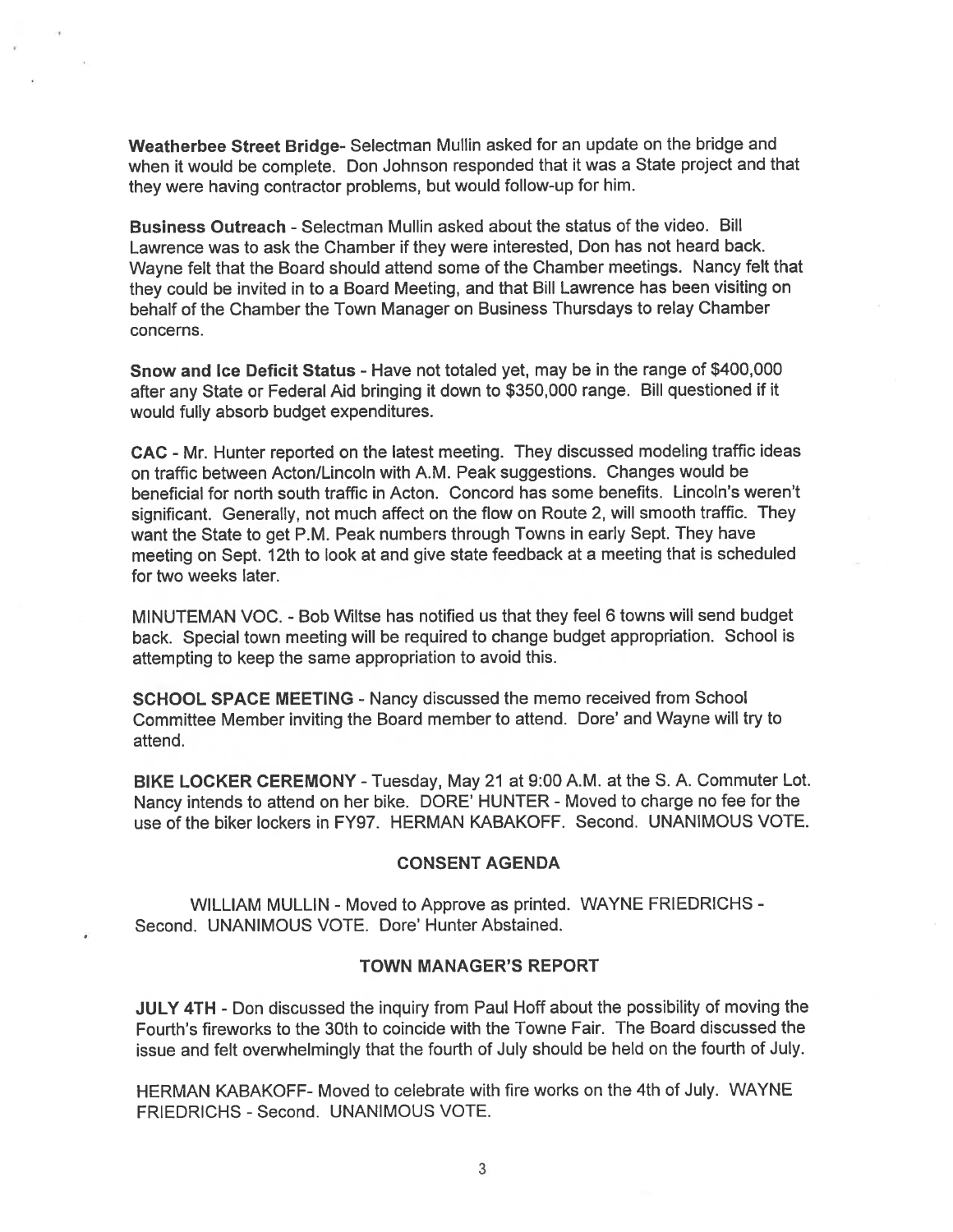Weatherbee Street Bridge- Selectman Mullin asked for an update on the bridge and when it would be complete. Don Johnson responded that it was <sup>a</sup> State project and that they were having contractor problems, but would follow-up for him.

Business Outreach - Selectman Mullin asked about the status of the video. Bill Lawrence was to ask the Chamber if they were interested, Don has not heard back. Wayne felt that the Board should attend some of the Chamber meetings. Nancy felt that they could be invited in to <sup>a</sup> Board Meeting, and that Bill Lawrence has been visiting on behalf of the Chamber the Town Manager on Business Thursdays to relay Chamber concerns.

Snow and Ice Deficit Status - Have not totaled yet, may be in the range of \$400,000 after any State or Federal Aid bringing it down to \$350,000 range. Bill questioned if it would fully absorb budget expenditures.

GAG - Mr. Hunter reported on the latest meeting. They discussed modeling traffic ideas on traffic between Acton/Lincoln with A.M. Peak suggestions. Changes would be beneficial for north south traffic in Acton. Concord has some benefits. Lincoln's weren't significant. Generally, not much affect on the flow on Route 2, will smooth traffic. They want the State to ge<sup>t</sup> P.M. Peak numbers through Towns in early Sept. They have meeting on Sept. 12th to look at and <sup>g</sup>ive state feedback at <sup>a</sup> meeting that is scheduled for two weeks later.

MINUTEMAN VOC. -Bob Wiltse has notified us that they feel 6 towns will send budget back. Special town meeting will be required to change budget appropriation. School is attempting to keep the same appropriation to avoid this.

SCHOOL SPACE MEETING - Nancy discussed the memo received from School Committee Member inviting the Board member to attend. Dore' and Wayne will try to attend.

BIKE LOCKER CEREMONY -Tuesday, May <sup>21</sup> at 9:00 A.M. at the S. A. Commuter Lot. Nancy intends to attend on her bike. DORE' HUNTER - Moved to charge no fee for the use of the biker lockers in FY97. HERMAN KABAKOFF. Second. UNANIMOUS VOTE.

#### CONSENT AGENDA

WILLIAM MULLIN - Moved to Approve as printed. WAYNE FRIEDRICHS - Second. UNANIMOUS VOTE. Dore' Hunter Abstained.

#### TOWN MANAGER'S REPORT

JULY 4TH - Don discussed the inquiry from Paul Hoff about the possibility of moving the Fourth's fireworks to the 30th to coincide with the Towne Fair. The Board discussed the issue and felt overwhelmingly that the fourth of July should be held on the fourth of July.

HERMAN KABAKOFF- Moved to celebrate with fire works on the 4th of July. WAYNE FRIEDRICHS - Second. UNANIMOUS VOTE.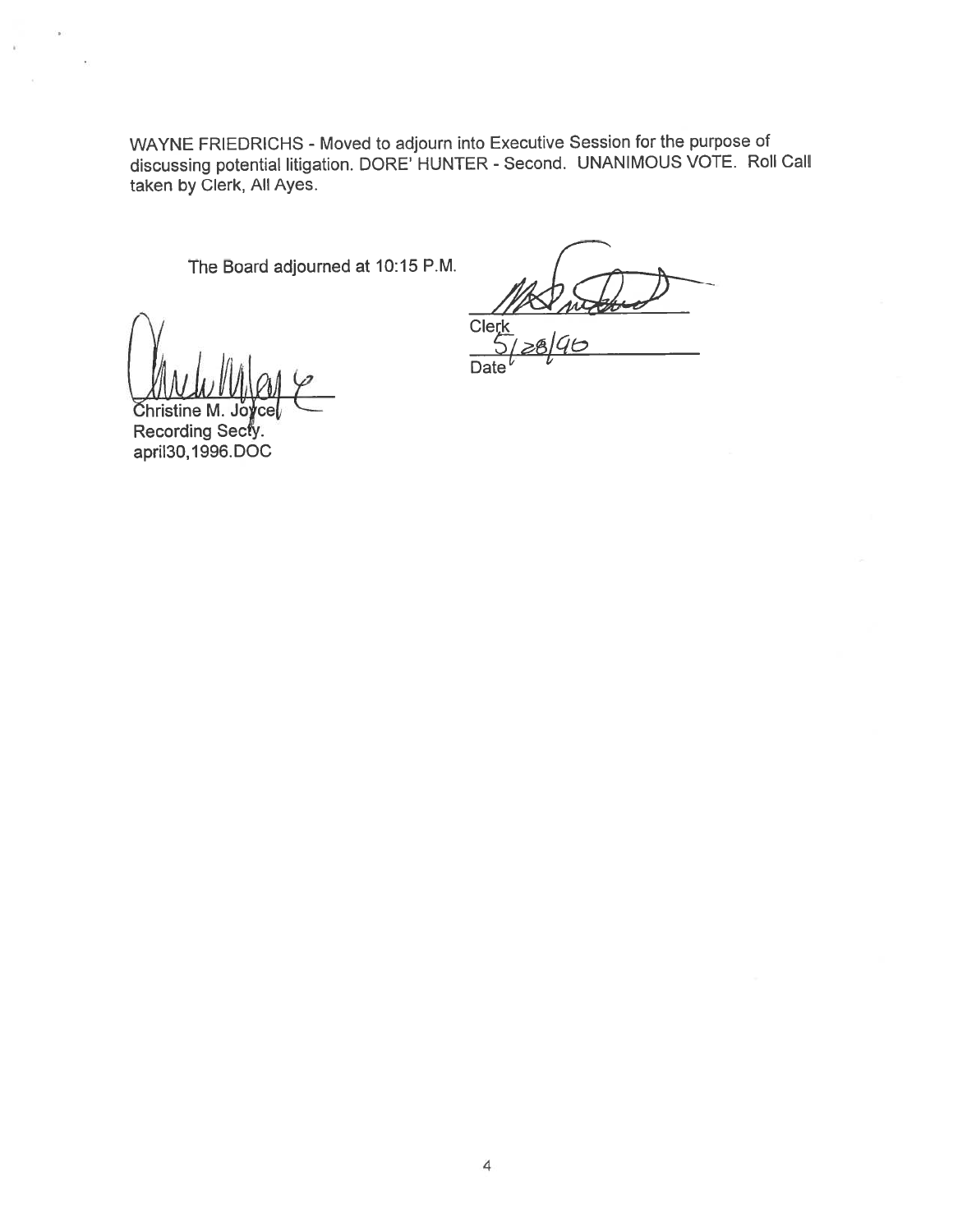WAYNE FRIEDRICHS - Moved to adjourn into Executive Session for the purpose of discussing potential litigation. DORE' HUNTER - Second. UNANIMOUS VOTE. Roll Call taken by Clerk, All Ayes.

The Board adjourned at 10:15 P.M.

Cle  $90^{\circ}$ 

**Date** 

Jo Christine M. Recording Secty. april 30, 1996. DOC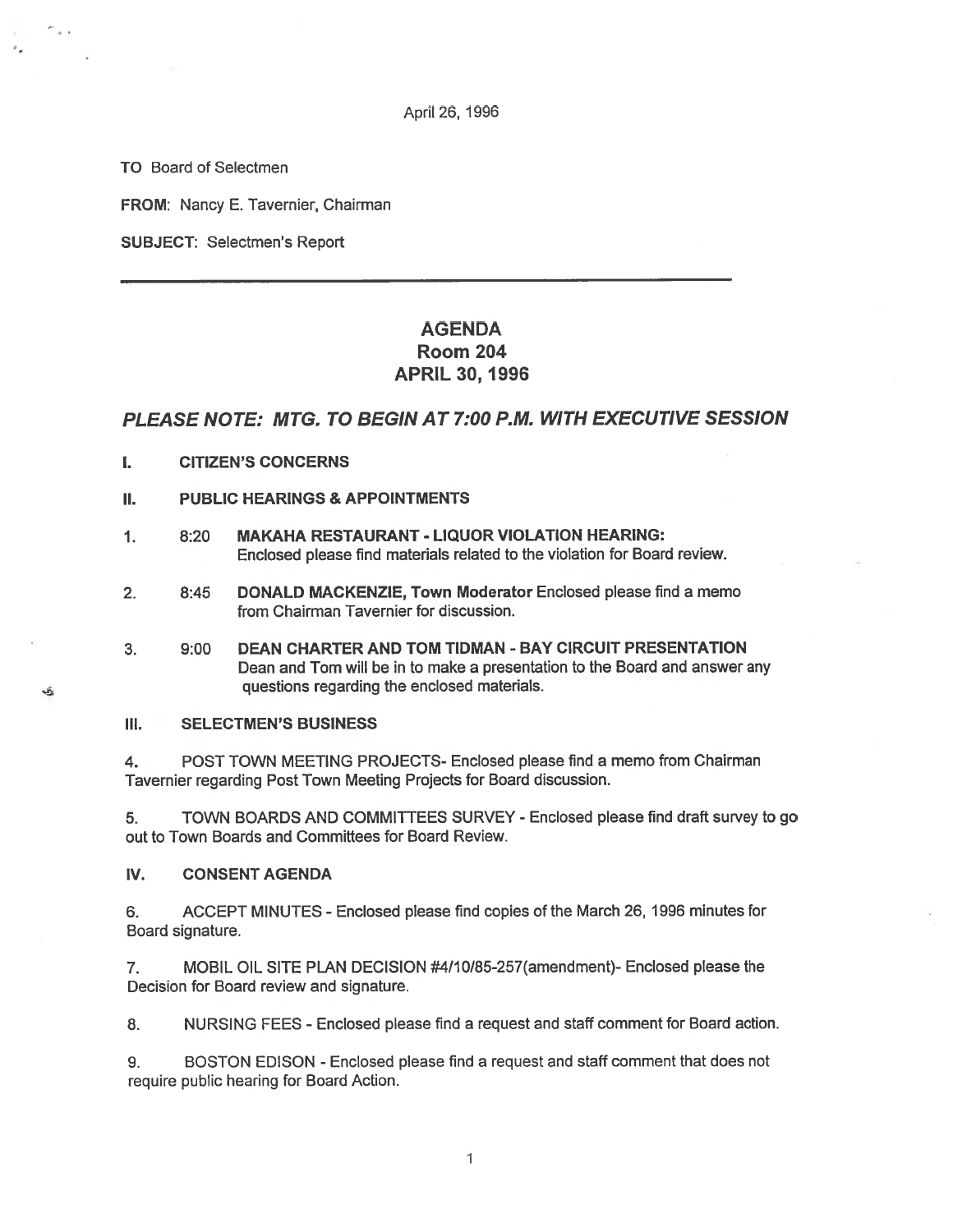April 26, 1996

TO Board of Selectmen

 $\sim$  .

Jĥ.

FROM: Nancy E. Tavernier, Chairman

SUBJECT: Selectmen's Report

# AGENDA Room 204 APRIL 30, 1996

#### PLEASE NOTE: MTG. TO BEGIN AT 7:00 RM. WITH EXECUTIVE SESSION

- I. CITIZEN'S CONCERNS
- II. PUBLIC HEARINGS & APPOINTMENTS
- 1. 8:20 MAKAHA RESTAURANT LIQUOR VIOLATION HEARING: Enclosed <sup>p</sup>lease find materials related to the violation for Board review.
- 2. 8:45 DONALD MACKENZIE, Town Moderator Enclosed please find <sup>a</sup> memo from Chairman Tavernier for discussion.
- 3. 9:00 DEAN CHARTER AND TOM TIDMAN -BAY CIRCUIT PRESENTATION Dean and Tom will be in to make <sup>a</sup> presentation to the Board and answer any questions regarding the enclosed materials.

III. SELECTMEN'S BUSINESS

4. POST TOWN MEETING PROJECTS- Enclosed please find <sup>a</sup> memo from Chairman Tavernier regarding Post Town Meeting Projects for Board discussion.

5. TOWN BOARDS AND COMMITTEES SURVEY - Enclosed please find draft survey to go out to Town Boards and Committees for Board Review.

IV. CONSENT AGENDA

6. ACCEPT MINUTES -Enclosed please find copies of the March 26, 1996 minutes for Board signature.

7. MOBIL OIL SITE PLAN DECISION #4/10/85-257(amendment)- Enclosed please the Decision for Board review and signature.

8. NURSING FEES -Enclosed please find <sup>a</sup> reques<sup>t</sup> and staff comment for Board action.

9. BOSTON EDISON -Enclosed please find <sup>a</sup> reques<sup>t</sup> and staff comment that does not require public hearing for Board Action.